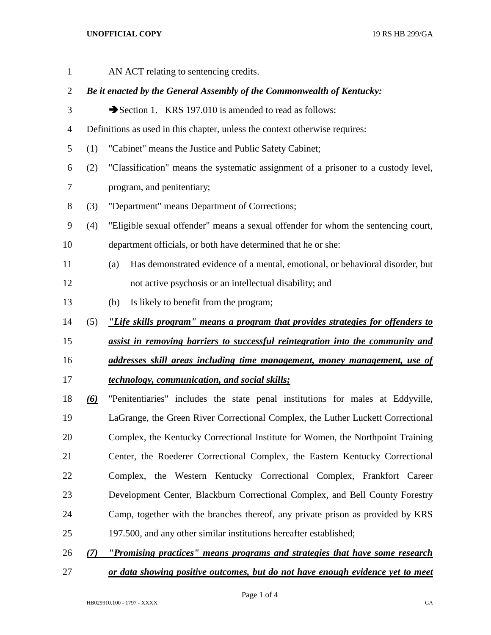## **UNOFFICIAL COPY** 19 RS HB 299/GA

| $\mathbf{1}$   |                                                                        | AN ACT relating to sentencing credits.                                               |  |  |  |  |  |
|----------------|------------------------------------------------------------------------|--------------------------------------------------------------------------------------|--|--|--|--|--|
| $\overline{c}$ | Be it enacted by the General Assembly of the Commonwealth of Kentucky: |                                                                                      |  |  |  |  |  |
| 3              |                                                                        | Section 1. KRS 197.010 is amended to read as follows:                                |  |  |  |  |  |
| $\overline{4}$ |                                                                        | Definitions as used in this chapter, unless the context otherwise requires:          |  |  |  |  |  |
| 5              | (1)                                                                    | "Cabinet" means the Justice and Public Safety Cabinet;                               |  |  |  |  |  |
| 6              | (2)                                                                    | "Classification" means the systematic assignment of a prisoner to a custody level,   |  |  |  |  |  |
| 7              |                                                                        | program, and penitentiary;                                                           |  |  |  |  |  |
| 8              | (3)                                                                    | "Department" means Department of Corrections;                                        |  |  |  |  |  |
| 9              | (4)                                                                    | "Eligible sexual offender" means a sexual offender for whom the sentencing court,    |  |  |  |  |  |
| 10             |                                                                        | department officials, or both have determined that he or she:                        |  |  |  |  |  |
| 11             |                                                                        | Has demonstrated evidence of a mental, emotional, or behavioral disorder, but<br>(a) |  |  |  |  |  |
| 12             |                                                                        | not active psychosis or an intellectual disability; and                              |  |  |  |  |  |
| 13             |                                                                        | Is likely to benefit from the program;<br>(b)                                        |  |  |  |  |  |
|                |                                                                        |                                                                                      |  |  |  |  |  |
| 14             | (5)                                                                    | "Life skills program" means a program that provides strategies for offenders to      |  |  |  |  |  |
|                |                                                                        | assist in removing barriers to successful reintegration into the community and       |  |  |  |  |  |
| 15<br>16       |                                                                        | addresses skill areas including time management, money management, use of            |  |  |  |  |  |
| 17             |                                                                        | technology, communication, and social skills;                                        |  |  |  |  |  |
| 18             | <u>(6)</u>                                                             | "Penitentiaries" includes the state penal institutions for males at Eddyville,       |  |  |  |  |  |
|                |                                                                        | LaGrange, the Green River Correctional Complex, the Luther Luckett Correctional      |  |  |  |  |  |
| 19<br>20       |                                                                        | Complex, the Kentucky Correctional Institute for Women, the Northpoint Training      |  |  |  |  |  |
| 21             |                                                                        | Center, the Roederer Correctional Complex, the Eastern Kentucky Correctional         |  |  |  |  |  |
| 22             |                                                                        | Complex, the Western Kentucky Correctional Complex, Frankfort Career                 |  |  |  |  |  |
| 23             |                                                                        | Development Center, Blackburn Correctional Complex, and Bell County Forestry         |  |  |  |  |  |
| 24             |                                                                        | Camp, together with the branches thereof, any private prison as provided by KRS      |  |  |  |  |  |
| 25             |                                                                        | 197.500, and any other similar institutions hereafter established;                   |  |  |  |  |  |

*or data showing positive outcomes, but do not have enough evidence yet to meet*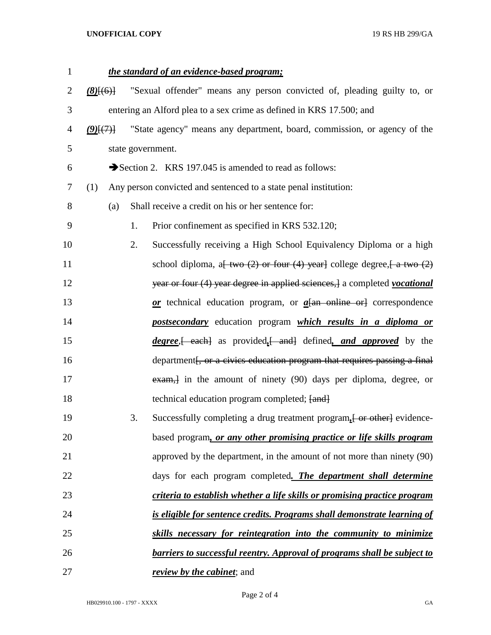## **UNOFFICIAL COPY** 19 RS HB 299/GA

| $\mathbf{1}$   | the standard of an evidence-based program;                           |                                                                  |    |                                                                                                                         |  |  |
|----------------|----------------------------------------------------------------------|------------------------------------------------------------------|----|-------------------------------------------------------------------------------------------------------------------------|--|--|
| $\overline{2}$ | $(8)$ $(6)$                                                          |                                                                  |    | "Sexual offender" means any person convicted of, pleading guilty to, or                                                 |  |  |
| 3              | entering an Alford plea to a sex crime as defined in KRS 17.500; and |                                                                  |    |                                                                                                                         |  |  |
| 4              | $(9)$ $(7)$                                                          |                                                                  |    | "State agency" means any department, board, commission, or agency of the                                                |  |  |
| 5              |                                                                      |                                                                  |    | state government.                                                                                                       |  |  |
| 6              |                                                                      |                                                                  |    | Section 2. KRS 197.045 is amended to read as follows:                                                                   |  |  |
| 7              | (1)                                                                  | Any person convicted and sentenced to a state penal institution: |    |                                                                                                                         |  |  |
| 8              |                                                                      | (a)                                                              |    | Shall receive a credit on his or her sentence for:                                                                      |  |  |
| 9              |                                                                      |                                                                  | 1. | Prior confinement as specified in KRS 532.120;                                                                          |  |  |
| 10             |                                                                      |                                                                  | 2. | Successfully receiving a High School Equivalency Diploma or a high                                                      |  |  |
| 11             |                                                                      |                                                                  |    | school diploma, a <del>[ two <math>(2)</math> or four <math>(4)</math> year]</del> college degree, $\left[$ a two $(2)$ |  |  |
| 12             |                                                                      |                                                                  |    | year or four (4) year degree in applied sciences, a completed vocational                                                |  |  |
| 13             |                                                                      |                                                                  |    | $or$ technical education program, or $a$ { $an$ online or } correspondence                                              |  |  |
| 14             |                                                                      |                                                                  |    | <i>postsecondary</i> education program <i>which results in a diploma or</i>                                             |  |  |
| 15             |                                                                      |                                                                  |    | <i>degree</i> , each as provided, and defined, and approved by the                                                      |  |  |
| 16             |                                                                      |                                                                  |    | department <del>[, or a civics education program that requires passing a final</del>                                    |  |  |
| 17             |                                                                      |                                                                  |    | exam, in the amount of ninety (90) days per diploma, degree, or                                                         |  |  |
| 18             |                                                                      |                                                                  |    | technical education program completed; [and]                                                                            |  |  |
| 19             |                                                                      |                                                                  | 3. | Successfully completing a drug treatment program, [ or other] evidence-                                                 |  |  |
| 20             |                                                                      |                                                                  |    | based program, or any other promising practice or life skills program                                                   |  |  |
| 21             |                                                                      |                                                                  |    | approved by the department, in the amount of not more than ninety (90)                                                  |  |  |
| 22             |                                                                      |                                                                  |    | days for each program completed. The department shall determine                                                         |  |  |
| 23             |                                                                      |                                                                  |    | criteria to establish whether a life skills or promising practice program                                               |  |  |
| 24             |                                                                      |                                                                  |    | is eligible for sentence credits. Programs shall demonstrate learning of                                                |  |  |
| 25             |                                                                      |                                                                  |    | skills necessary for reintegration into the community to minimize                                                       |  |  |
| 26             |                                                                      |                                                                  |    | <b>barriers to successful reentry. Approval of programs shall be subject to</b>                                         |  |  |
| 27             |                                                                      |                                                                  |    | <i>review by the cabinet</i> ; and                                                                                      |  |  |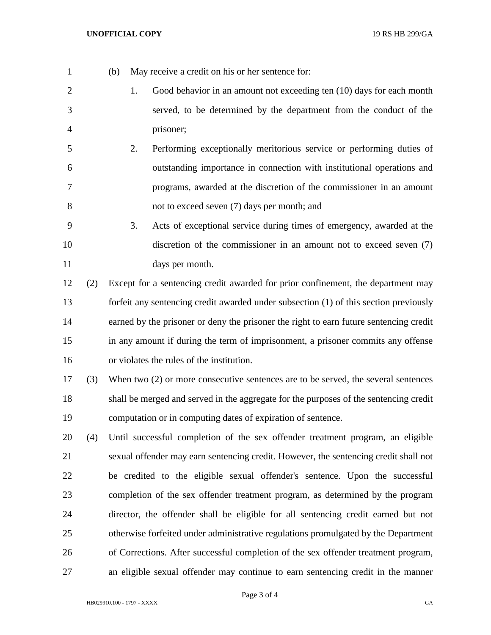- (b) May receive a credit on his or her sentence for:
- 1. Good behavior in an amount not exceeding ten (10) days for each month served, to be determined by the department from the conduct of the prisoner;
- 2. Performing exceptionally meritorious service or performing duties of outstanding importance in connection with institutional operations and programs, awarded at the discretion of the commissioner in an amount not to exceed seven (7) days per month; and
- 3. Acts of exceptional service during times of emergency, awarded at the discretion of the commissioner in an amount not to exceed seven (7) days per month.
- (2) Except for a sentencing credit awarded for prior confinement, the department may forfeit any sentencing credit awarded under subsection (1) of this section previously earned by the prisoner or deny the prisoner the right to earn future sentencing credit in any amount if during the term of imprisonment, a prisoner commits any offense or violates the rules of the institution.
- (3) When two (2) or more consecutive sentences are to be served, the several sentences shall be merged and served in the aggregate for the purposes of the sentencing credit computation or in computing dates of expiration of sentence.
- (4) Until successful completion of the sex offender treatment program, an eligible sexual offender may earn sentencing credit. However, the sentencing credit shall not be credited to the eligible sexual offender's sentence. Upon the successful completion of the sex offender treatment program, as determined by the program director, the offender shall be eligible for all sentencing credit earned but not otherwise forfeited under administrative regulations promulgated by the Department of Corrections. After successful completion of the sex offender treatment program, an eligible sexual offender may continue to earn sentencing credit in the manner